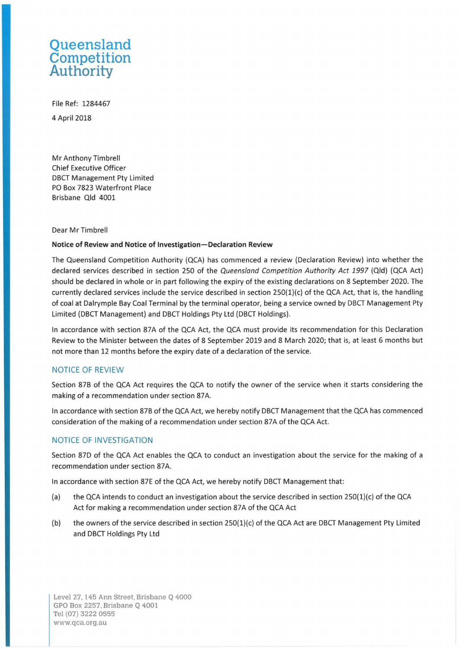# **Queensland Competition Authority**

File Ref: 1284467 4 April 2018

Mr Anthony Timbrel! Chief Executive Officer DBCT Management Pty Limited PO Box 7823 Waterfront Place Brisbane Qld 4001

#### Dear Mr Timbrel!

#### **Notice of Review and Notice of Investigation-Declaration Review**

The Queensland Competition Authority (QCA) has commenced a review (Declaration Review) into whether the declared services described in section 250 of the Queensland Competition Authority Act 1997 (Qld) (QCA Act) should be declared in whole or in part following the expiry of the existing declarations on 8 September 2020. The currently declared services include the service described in section 250(1)(c) of the QCA Act, that is, the handling of coal at Dalrymple Bay Coal Terminal by the terminal operator, being a service owned by DBCT Management Pty Limited (DBCT Management) and DBCT Holdings Pty Ltd (DBCT Holdings).

In accordance with section 87A of the QCA Act, the QCA must provide its recommendation for this Declaration Review to the Minister between the dates of 8 September 2019 and 8 March 2020; that is, at least 6 months but not more than 12 months before the expiry date of a declaration of the service.

## NOTICE OF REVIEW

Section 87B of the QCA Act requires the QCA to notify the owner of the service when it starts considering the making of a recommendation under section 87A.

In accordance with section 87B of the QCA Act, we hereby notify DBCT Management that the QCA has commenced consideration of the making of a recommendation under section 87A of the QCA Act.

## NOTICE OF INVESTIGATION

Section 87D of the QCA Act enables the QCA to conduct an investigation about the service for the making of a recommendation under section 87A.

In accordance with section 87E of the QCA Act, we hereby notify DBCT Management that:

- (a) the QCA intends to conduct an investigation about the service described in section  $250(1)(c)$  of the QCA Act for making a recommendation under section 87A of the QCA Act
- (b) the owners of the service described in section 250(1)(c) of the QCA Act are DBCT Management Pty Limited and DBCT Holdings Pty Ltd

Level 27, 145 Ann Street, Brisbane Q 4000 GPO Box 2257, Brisbane Q 4001 Tel (07) 3222 0555 [www.qca.org.au](http://www.qca.org.au)